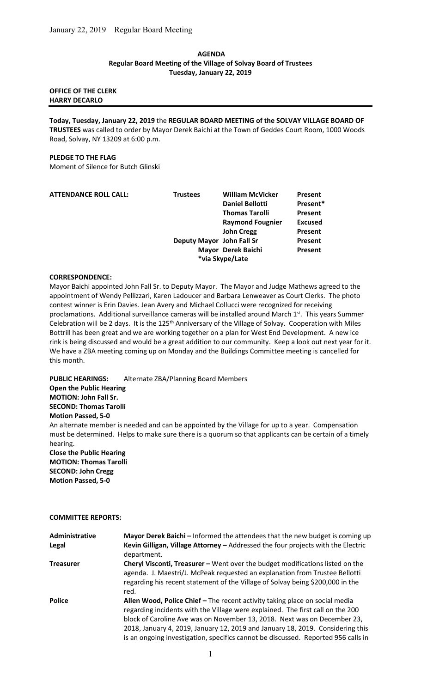### AGENDA Regular Board Meeting of the Village of Solvay Board of Trustees Tuesday, January 22, 2019

# OFFICE OF THE CLERK HARRY DECARLO

Today, Tuesday, January 22, 2019 the REGULAR BOARD MEETING of the SOLVAY VILLAGE BOARD OF TRUSTEES was called to order by Mayor Derek Baichi at the Town of Geddes Court Room, 1000 Woods Road, Solvay, NY 13209 at 6:00 p.m.

### PLEDGE TO THE FLAG

Moment of Silence for Butch Glinski

| <b>ATTENDANCE ROLL CALL:</b> | <b>Trustees</b>           | <b>William McVicker</b> | <b>Present</b> |
|------------------------------|---------------------------|-------------------------|----------------|
|                              |                           | <b>Daniel Bellotti</b>  | Present*       |
|                              |                           | <b>Thomas Tarolli</b>   | <b>Present</b> |
|                              |                           | <b>Raymond Fougnier</b> | <b>Excused</b> |
|                              |                           | <b>John Cregg</b>       | Present        |
|                              | Deputy Mayor John Fall Sr |                         | <b>Present</b> |
|                              |                           | Mayor Derek Baichi      | Present        |
|                              |                           | *via Skype/Late         |                |

#### CORRESPONDENCE:

Mayor Baichi appointed John Fall Sr. to Deputy Mayor. The Mayor and Judge Mathews agreed to the appointment of Wendy Pellizzari, Karen Ladoucer and Barbara Lenweaver as Court Clerks. The photo contest winner is Erin Davies. Jean Avery and Michael Collucci were recognized for receiving proclamations. Additional surveillance cameras will be installed around March 1st. This years Summer Celebration will be 2 days. It is the 125<sup>th</sup> Anniversary of the Village of Solvay. Cooperation with Miles Bottrill has been great and we are working together on a plan for West End Development. A new ice rink is being discussed and would be a great addition to our community. Keep a look out next year for it. We have a ZBA meeting coming up on Monday and the Buildings Committee meeting is cancelled for this month.

PUBLIC HEARINGS: Alternate ZBA/Planning Board Members Open the Public Hearing MOTION: John Fall Sr. SECOND: Thomas Tarolli Motion Passed, 5-0 An alternate member is needed and can be appointed by the Village for up to a year. Compensation must be determined. Helps to make sure there is a quorum so that applicants can be certain of a timely hearing. Close the Public Hearing MOTION: Thomas Tarolli SECOND: John Cregg Motion Passed, 5-0

#### COMMITTEE REPORTS:

| Administrative<br>Legal | Mayor Derek Baichi – Informed the attendees that the new budget is coming up<br>Kevin Gilligan, Village Attorney - Addressed the four projects with the Electric<br>department.                                                                                                                                                                                                                                  |
|-------------------------|------------------------------------------------------------------------------------------------------------------------------------------------------------------------------------------------------------------------------------------------------------------------------------------------------------------------------------------------------------------------------------------------------------------|
| <b>Treasurer</b>        | <b>Cheryl Visconti, Treasurer - Went over the budget modifications listed on the</b><br>agenda. J. Maestri/J. McPeak requested an explanation from Trustee Bellotti<br>regarding his recent statement of the Village of Solvay being \$200,000 in the<br>red.                                                                                                                                                    |
| <b>Police</b>           | Allen Wood, Police Chief - The recent activity taking place on social media<br>regarding incidents with the Village were explained. The first call on the 200<br>block of Caroline Ave was on November 13, 2018. Next was on December 23,<br>2018, January 4, 2019, January 12, 2019 and January 18, 2019. Considering this<br>is an ongoing investigation, specifics cannot be discussed. Reported 956 calls in |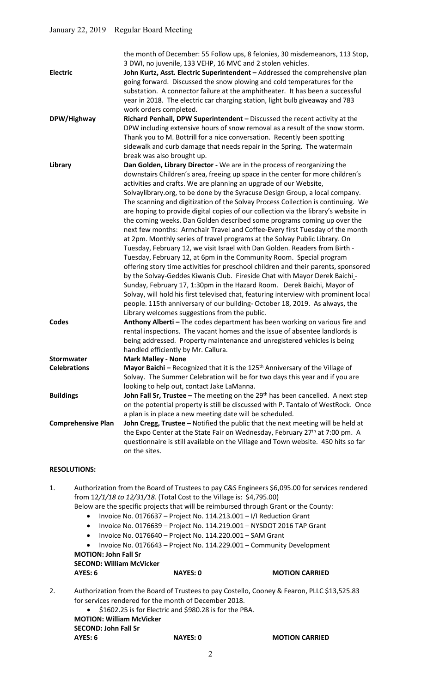| <b>Electric</b>           | the month of December: 55 Follow ups, 8 felonies, 30 misdemeanors, 113 Stop,<br>3 DWI, no juvenile, 133 VEHP, 16 MVC and 2 stolen vehicles.<br>John Kurtz, Asst. Electric Superintendent - Addressed the comprehensive plan<br>going forward. Discussed the snow plowing and cold temperatures for the<br>substation. A connector failure at the amphitheater. It has been a successful                                                                                                                                                                                                                                                                                                                                                                                                                                                                                                                                                                                                                                                                                                                                                                                                                                                                                                                                                                        |
|---------------------------|----------------------------------------------------------------------------------------------------------------------------------------------------------------------------------------------------------------------------------------------------------------------------------------------------------------------------------------------------------------------------------------------------------------------------------------------------------------------------------------------------------------------------------------------------------------------------------------------------------------------------------------------------------------------------------------------------------------------------------------------------------------------------------------------------------------------------------------------------------------------------------------------------------------------------------------------------------------------------------------------------------------------------------------------------------------------------------------------------------------------------------------------------------------------------------------------------------------------------------------------------------------------------------------------------------------------------------------------------------------|
| DPW/Highway               | year in 2018. The electric car charging station, light bulb giveaway and 783<br>work orders completed.<br>Richard Penhall, DPW Superintendent - Discussed the recent activity at the<br>DPW including extensive hours of snow removal as a result of the snow storm.<br>Thank you to M. Bottrill for a nice conversation. Recently been spotting                                                                                                                                                                                                                                                                                                                                                                                                                                                                                                                                                                                                                                                                                                                                                                                                                                                                                                                                                                                                               |
|                           | sidewalk and curb damage that needs repair in the Spring. The watermain<br>break was also brought up.                                                                                                                                                                                                                                                                                                                                                                                                                                                                                                                                                                                                                                                                                                                                                                                                                                                                                                                                                                                                                                                                                                                                                                                                                                                          |
| Library                   | Dan Golden, Library Director - We are in the process of reorganizing the<br>downstairs Children's area, freeing up space in the center for more children's<br>activities and crafts. We are planning an upgrade of our Website,<br>Solvaylibrary.org, to be done by the Syracuse Design Group, a local company.<br>The scanning and digitization of the Solvay Process Collection is continuing. We<br>are hoping to provide digital copies of our collection via the library's website in<br>the coming weeks. Dan Golden described some programs coming up over the<br>next few months: Armchair Travel and Coffee-Every first Tuesday of the month<br>at 2pm. Monthly series of travel programs at the Solvay Public Library. On<br>Tuesday, February 12, we visit Israel with Dan Golden. Readers from Birth -<br>Tuesday, February 12, at 6pm in the Community Room. Special program<br>offering story time activities for preschool children and their parents, sponsored<br>by the Solvay-Geddes Kiwanis Club. Fireside Chat with Mayor Derek Baichi -<br>Sunday, February 17, 1:30pm in the Hazard Room. Derek Baichi, Mayor of<br>Solvay, will hold his first televised chat, featuring interview with prominent local<br>people. 115th anniversary of our building-October 18, 2019. As always, the<br>Library welcomes suggestions from the public. |
| <b>Codes</b>              | Anthony Alberti - The codes department has been working on various fire and<br>rental inspections. The vacant homes and the issue of absentee landlords is<br>being addressed. Property maintenance and unregistered vehicles is being<br>handled efficiently by Mr. Callura.                                                                                                                                                                                                                                                                                                                                                                                                                                                                                                                                                                                                                                                                                                                                                                                                                                                                                                                                                                                                                                                                                  |
| <b>Stormwater</b>         | <b>Mark Malley - None</b>                                                                                                                                                                                                                                                                                                                                                                                                                                                                                                                                                                                                                                                                                                                                                                                                                                                                                                                                                                                                                                                                                                                                                                                                                                                                                                                                      |
| <b>Celebrations</b>       | <b>Mayor Baichi</b> – Recognized that it is the $125th$ Anniversary of the Village of<br>Solvay. The Summer Celebration will be for two days this year and if you are<br>looking to help out, contact Jake LaManna.                                                                                                                                                                                                                                                                                                                                                                                                                                                                                                                                                                                                                                                                                                                                                                                                                                                                                                                                                                                                                                                                                                                                            |
| <b>Buildings</b>          | John Fall Sr, Trustee - The meeting on the 29 <sup>th</sup> has been cancelled. A next step<br>on the potential property is still be discussed with P. Tantalo of WestRock. Once<br>a plan is in place a new meeting date will be scheduled.                                                                                                                                                                                                                                                                                                                                                                                                                                                                                                                                                                                                                                                                                                                                                                                                                                                                                                                                                                                                                                                                                                                   |
| <b>Comprehensive Plan</b> | John Cregg, Trustee - Notified the public that the next meeting will be held at<br>the Expo Center at the State Fair on Wednesday, February 27 <sup>th</sup> at 7:00 pm. A<br>questionnaire is still available on the Village and Town website. 450 hits so far<br>on the sites.                                                                                                                                                                                                                                                                                                                                                                                                                                                                                                                                                                                                                                                                                                                                                                                                                                                                                                                                                                                                                                                                               |
|                           |                                                                                                                                                                                                                                                                                                                                                                                                                                                                                                                                                                                                                                                                                                                                                                                                                                                                                                                                                                                                                                                                                                                                                                                                                                                                                                                                                                |

# RESOLUTIONS:

1. Authorization from the Board of Trustees to pay C&S Engineers \$6,095.00 for services rendered from 12/1/18 to 12/31/18. (Total Cost to the Village is: \$4,795.00)

Below are the specific projects that will be reimbursed through Grant or the County:

- Invoice No. 0176637 Project No. 114.213.001 I/I Reduction Grant
- $\bullet$  Invoice No. 0176639 Project No. 114.219.001 NYSDOT 2016 TAP Grant
- $\bullet$  Invoice No. 0176640 Project No. 114.220.001 SAM Grant
- Invoice No. 0176643 Project No. 114.229.001 Community Development MOTION: John Fall Sr

SECOND: William McVicker

| AYES: 6 | <b>NAYES: 0</b> | <b>MOTION CARRIED</b> |
|---------|-----------------|-----------------------|
|         |                 |                       |

- 2. Authorization from the Board of Trustees to pay Costello, Cooney & Fearon, PLLC \$13,525.83 for services rendered for the month of December 2018.
	- $\bullet$  \$1602.25 is for Electric and \$980.28 is for the PBA.

 MOTION: William McVicker SECOND: John Fall Sr AYES: 6 NAYES: 0 MOTION CARRIED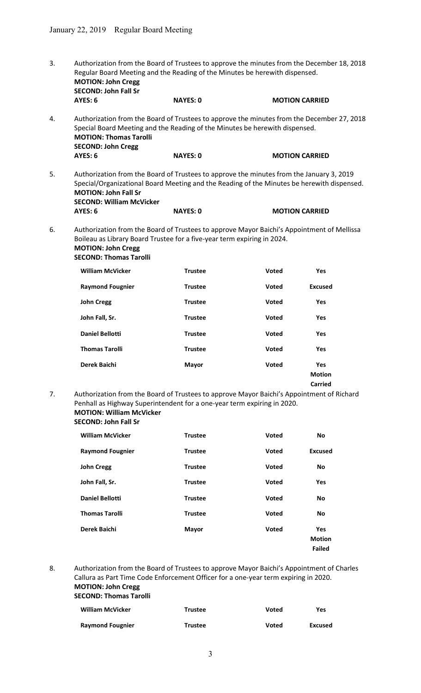3. Authorization from the Board of Trustees to approve the minutes from the December 18, 2018 Regular Board Meeting and the Reading of the Minutes be herewith dispensed. MOTION: John Cregg SECOND: John Fall Sr<br>AYES: 6 NAYES: 0 **MOTION CARRIED** 

4. Authorization from the Board of Trustees to approve the minutes from the December 27, 2018 Special Board Meeting and the Reading of the Minutes be herewith dispensed. MOTION: Thomas Tarolli SECOND: John Cregg AYES: 6 NAYES: 0 MOTION CARRIED

5. Authorization from the Board of Trustees to approve the minutes from the January 3, 2019 Special/Organizational Board Meeting and the Reading of the Minutes be herewith dispensed. MOTION: John Fall Sr SECOND: William McVicker

| AYES: 6<br><b>NAYES: 0</b> | <b>MOTION CARRIED</b> |
|----------------------------|-----------------------|
|----------------------------|-----------------------|

6. Authorization from the Board of Trustees to approve Mayor Baichi's Appointment of Mellissa Boileau as Library Board Trustee for a five-year term expiring in 2024.

| <b>MOTION: John Cregg</b>     |
|-------------------------------|
| <b>SECOND: Thomas Tarolli</b> |

| <b>William McVicker</b> | <b>Trustee</b> | <b>Voted</b> | <b>Yes</b>                      |
|-------------------------|----------------|--------------|---------------------------------|
| <b>Raymond Fougnier</b> | <b>Trustee</b> | Voted        | <b>Excused</b>                  |
| <b>John Cregg</b>       | <b>Trustee</b> | Voted        | <b>Yes</b>                      |
| John Fall, Sr.          | <b>Trustee</b> | Voted        | <b>Yes</b>                      |
| <b>Daniel Bellotti</b>  | <b>Trustee</b> | Voted        | <b>Yes</b>                      |
| <b>Thomas Tarolli</b>   | <b>Trustee</b> | <b>Voted</b> | <b>Yes</b>                      |
| Derek Baichi            | <b>Mayor</b>   | Voted        | Yes<br><b>Motion</b><br>Carried |

7. Authorization from the Board of Trustees to approve Mayor Baichi's Appointment of Richard Penhall as Highway Superintendent for a one-year term expiring in 2020. MOTION: William McVicker

#### SECOND: John Fall Sr

| <b>William McVicker</b> | <b>Trustee</b> | Voted        | <b>No</b>                             |
|-------------------------|----------------|--------------|---------------------------------------|
| <b>Raymond Fougnier</b> | <b>Trustee</b> | Voted        | <b>Excused</b>                        |
| <b>John Cregg</b>       | <b>Trustee</b> | Voted        | <b>No</b>                             |
| John Fall, Sr.          | <b>Trustee</b> | Voted        | Yes                                   |
| <b>Daniel Bellotti</b>  | <b>Trustee</b> | Voted        | <b>No</b>                             |
| <b>Thomas Tarolli</b>   | <b>Trustee</b> | <b>Voted</b> | <b>No</b>                             |
| Derek Baichi            | Mayor          | Voted        | Yes<br><b>Motion</b><br><b>Failed</b> |

8. Authorization from the Board of Trustees to approve Mayor Baichi's Appointment of Charles Callura as Part Time Code Enforcement Officer for a one-year term expiring in 2020. MOTION: John Cregg

# SECOND: Thomas Tarolli

| <b>William McVicker</b> | <b>Trustee</b> | Voted | Yes     |
|-------------------------|----------------|-------|---------|
| <b>Raymond Fougnier</b> | Trustee        | Voted | Excused |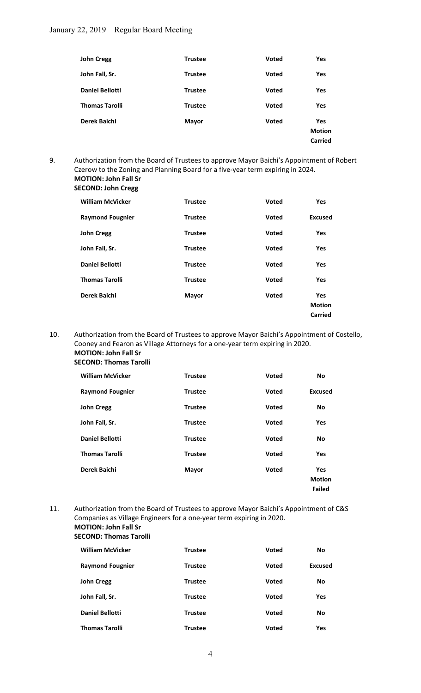| <b>John Cregg</b>      | <b>Trustee</b> | <b>Voted</b> | <b>Yes</b>     |
|------------------------|----------------|--------------|----------------|
| John Fall, Sr.         | <b>Trustee</b> | Voted        | Yes            |
| <b>Daniel Bellotti</b> | <b>Trustee</b> | <b>Voted</b> | Yes            |
| <b>Thomas Tarolli</b>  | <b>Trustee</b> | Voted        | <b>Yes</b>     |
| Derek Baichi           | <b>Mayor</b>   | <b>Voted</b> | Yes            |
|                        |                |              | <b>Motion</b>  |
|                        |                |              | <b>Carried</b> |

9. Authorization from the Board of Trustees to approve Mayor Baichi's Appointment of Robert Czerow to the Zoning and Planning Board for a five-year term expiring in 2024. MOTION: John Fall Sr SECOND: John Cregg

| <b>William McVicker</b> | <b>Trustee</b> | <b>Voted</b> | <b>Yes</b>     |
|-------------------------|----------------|--------------|----------------|
| <b>Raymond Fougnier</b> | <b>Trustee</b> | Voted        | <b>Excused</b> |
| <b>John Cregg</b>       | <b>Trustee</b> | Voted        | <b>Yes</b>     |
| John Fall, Sr.          | <b>Trustee</b> | <b>Voted</b> | <b>Yes</b>     |
| <b>Daniel Bellotti</b>  | <b>Trustee</b> | <b>Voted</b> | <b>Yes</b>     |
| <b>Thomas Tarolli</b>   | <b>Trustee</b> | <b>Voted</b> | <b>Yes</b>     |
| Derek Baichi            | <b>Mayor</b>   | Voted        | Yes            |
|                         |                |              | <b>Motion</b>  |
|                         |                |              | Carried        |

10. Authorization from the Board of Trustees to approve Mayor Baichi's Appointment of Costello, Cooney and Fearon as Village Attorneys for a one-year term expiring in 2020. MOTION: John Fall Sr

#### SECOND: Thomas Tarolli

| <b>William McVicker</b> | <b>Trustee</b> | <b>Voted</b> | <b>No</b>                                    |
|-------------------------|----------------|--------------|----------------------------------------------|
| <b>Raymond Fougnier</b> | <b>Trustee</b> | Voted        | <b>Excused</b>                               |
| <b>John Cregg</b>       | <b>Trustee</b> | Voted        | <b>No</b>                                    |
| John Fall, Sr.          | <b>Trustee</b> | Voted        | Yes                                          |
| <b>Daniel Bellotti</b>  | <b>Trustee</b> | Voted        | <b>No</b>                                    |
| <b>Thomas Tarolli</b>   | <b>Trustee</b> | <b>Voted</b> | Yes                                          |
| Derek Baichi            | <b>Mayor</b>   | Voted        | <b>Yes</b><br><b>Motion</b><br><b>Failed</b> |

11. Authorization from the Board of Trustees to approve Mayor Baichi's Appointment of C&S Companies as Village Engineers for a one-year term expiring in 2020. MOTION: John Fall Sr SECOND: Thomas Tarolli

| <b>William McVicker</b> | <b>Trustee</b> | <b>Voted</b> | No         |
|-------------------------|----------------|--------------|------------|
| <b>Raymond Fougnier</b> | <b>Trustee</b> | Voted        | Excused    |
| <b>John Cregg</b>       | <b>Trustee</b> | Voted        | No         |
| John Fall, Sr.          | <b>Trustee</b> | Voted        | <b>Yes</b> |
| <b>Daniel Bellotti</b>  | <b>Trustee</b> | <b>Voted</b> | No         |
| <b>Thomas Tarolli</b>   | <b>Trustee</b> | <b>Voted</b> | Yes        |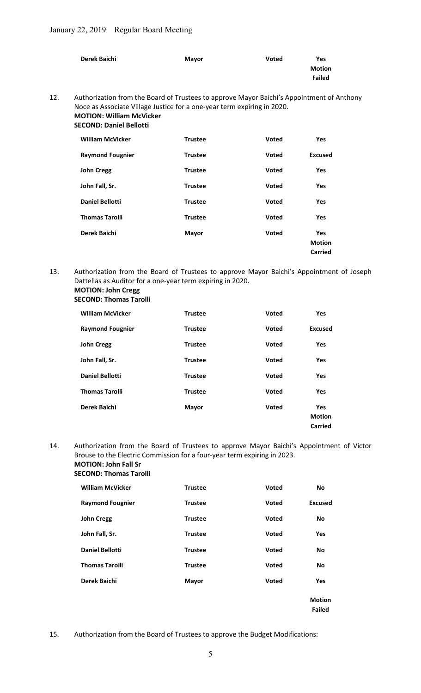| Derek Baichi | Mayor | <b>Voted</b> | <b>Yes</b>    |
|--------------|-------|--------------|---------------|
|              |       |              | <b>Motion</b> |
|              |       |              | <b>Failed</b> |
|              |       |              |               |

# 12. Authorization from the Board of Trustees to approve Mayor Baichi's Appointment of Anthony Noce as Associate Village Justice for a one-year term expiring in 2020. MOTION: William McVicker

# SECOND: Daniel Bellotti

| <b>William McVicker</b> | <b>Trustee</b> | <b>Voted</b> | <b>Yes</b>    |
|-------------------------|----------------|--------------|---------------|
| <b>Raymond Fougnier</b> | <b>Trustee</b> | Voted        | Excused       |
| <b>John Cregg</b>       | <b>Trustee</b> | Voted        | Yes           |
| John Fall, Sr.          | <b>Trustee</b> | Voted        | <b>Yes</b>    |
| <b>Daniel Bellotti</b>  | <b>Trustee</b> | Voted        | <b>Yes</b>    |
| <b>Thomas Tarolli</b>   | <b>Trustee</b> | <b>Voted</b> | Yes           |
| Derek Baichi            | Mayor          | Voted        | <b>Yes</b>    |
|                         |                |              | <b>Motion</b> |
|                         |                |              | Carried       |

13. Authorization from the Board of Trustees to approve Mayor Baichi's Appointment of Joseph Dattellas as Auditor for a one-year term expiring in 2020. MOTION: John Cregg

# SECOND: Thomas Tarolli

| <b>William McVicker</b> | <b>Trustee</b> | <b>Voted</b> | <b>Yes</b>     |
|-------------------------|----------------|--------------|----------------|
| <b>Raymond Fougnier</b> | <b>Trustee</b> | Voted        | <b>Excused</b> |
| <b>John Cregg</b>       | <b>Trustee</b> | Voted        | Yes            |
| John Fall, Sr.          | <b>Trustee</b> | Voted        | <b>Yes</b>     |
| <b>Daniel Bellotti</b>  | <b>Trustee</b> | <b>Voted</b> | <b>Yes</b>     |
| <b>Thomas Tarolli</b>   | <b>Trustee</b> | <b>Voted</b> | Yes            |
| Derek Baichi            | Mayor          | <b>Voted</b> | <b>Yes</b>     |
|                         |                |              | <b>Motion</b>  |
|                         |                |              | Carried        |

14. Authorization from the Board of Trustees to approve Mayor Baichi's Appointment of Victor Brouse to the Electric Commission for a four-year term expiring in 2023.

#### MOTION: John Fall Sr SECOND: Thomas Tarolli

| <b>William McVicker</b> | <b>Trustee</b> | <b>Voted</b> | <b>No</b>      |
|-------------------------|----------------|--------------|----------------|
| <b>Raymond Fougnier</b> | <b>Trustee</b> | <b>Voted</b> | <b>Excused</b> |
| <b>John Cregg</b>       | <b>Trustee</b> | <b>Voted</b> | <b>No</b>      |
| John Fall, Sr.          | <b>Trustee</b> | <b>Voted</b> | <b>Yes</b>     |
| <b>Daniel Bellotti</b>  | <b>Trustee</b> | <b>Voted</b> | <b>No</b>      |
| <b>Thomas Tarolli</b>   | <b>Trustee</b> | Voted        | <b>No</b>      |
| Derek Baichi            | <b>Mayor</b>   | <b>Voted</b> | Yes            |
|                         |                |              |                |

Motion Failed

15. Authorization from the Board of Trustees to approve the Budget Modifications: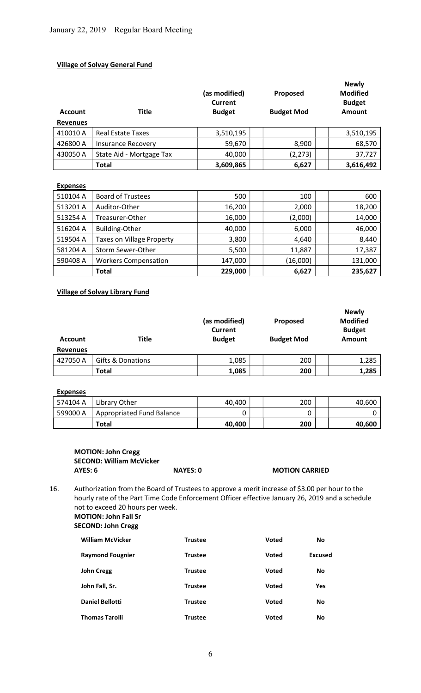# Village of Solvay General Fund

| <b>Account</b><br><b>Revenues</b> | <b>Title</b>              | (as modified)<br><b>Current</b><br><b>Budget</b> | Proposed<br><b>Budget Mod</b> | <b>Newly</b><br><b>Modified</b><br><b>Budget</b><br><b>Amount</b> |
|-----------------------------------|---------------------------|--------------------------------------------------|-------------------------------|-------------------------------------------------------------------|
| 410010 A                          | <b>Real Estate Taxes</b>  | 3,510,195                                        |                               | 3,510,195                                                         |
| 426800 A                          | <b>Insurance Recovery</b> | 59,670                                           | 8,900                         | 68,570                                                            |
| 430050 A                          | State Aid - Mortgage Tax  | 40,000                                           | (2, 273)                      | 37,727                                                            |
|                                   | <b>Total</b>              | 3,609,865                                        | 6,627                         | 3,616,492                                                         |

# Expenses

| 510104 A | <b>Board of Trustees</b>         | 500     | 100      | 600     |
|----------|----------------------------------|---------|----------|---------|
| 513201 A | Auditor-Other                    | 16,200  | 2,000    | 18,200  |
| 513254 A | Treasurer-Other                  | 16,000  | (2,000)  | 14,000  |
| 516204 A | Building-Other                   | 40,000  | 6,000    | 46,000  |
| 519504 A | <b>Taxes on Village Property</b> | 3,800   | 4,640    | 8,440   |
| 581204 A | Storm Sewer-Other                | 5,500   | 11,887   | 17,387  |
| 590408 A | <b>Workers Compensation</b>      | 147,000 | (16,000) | 131,000 |
|          | <b>Total</b>                     | 229,000 | 6,627    | 235,627 |

# Village of Solvay Library Fund

| <b>Account</b>  | <b>Title</b>                 | (as modified)<br><b>Current</b><br><b>Budget</b> | Proposed<br><b>Budget Mod</b> | <b>Newly</b><br><b>Modified</b><br><b>Budget</b><br>Amount |
|-----------------|------------------------------|--------------------------------------------------|-------------------------------|------------------------------------------------------------|
| <b>Revenues</b> |                              |                                                  |                               |                                                            |
| 427050 A        | <b>Gifts &amp; Donations</b> | 1,085                                            | 200                           | 1,285                                                      |
|                 | <b>Total</b>                 | 1,085                                            | 200                           | 1,285                                                      |

# Expenses

| ________ |                           |        |     |        |
|----------|---------------------------|--------|-----|--------|
| 574104 A | Library Other             | 40.400 | 200 | 40,600 |
| 599000 A | Appropriated Fund Balance |        |     |        |
|          | Total                     | 40.400 | 200 | 40,600 |

# MOTION: John Cregg SECOND: William McVicker<br>AYES: 6

NAYES: 0 MOTION CARRIED

16. Authorization from the Board of Trustees to approve a merit increase of \$3.00 per hour to the hourly rate of the Part Time Code Enforcement Officer effective January 26, 2019 and a schedule not to exceed 20 hours per week. MOTION: John Fall Sr

# SECOND: John Cregg

| <b>William McVicker</b> | <b>Trustee</b> | <b>Voted</b> | No             |
|-------------------------|----------------|--------------|----------------|
| <b>Raymond Fougnier</b> | <b>Trustee</b> | <b>Voted</b> | <b>Excused</b> |
| <b>John Cregg</b>       | <b>Trustee</b> | <b>Voted</b> | No             |
| John Fall, Sr.          | <b>Trustee</b> | <b>Voted</b> | <b>Yes</b>     |
| <b>Daniel Bellotti</b>  | <b>Trustee</b> | <b>Voted</b> | No             |
| <b>Thomas Tarolli</b>   | <b>Trustee</b> | <b>Voted</b> | No             |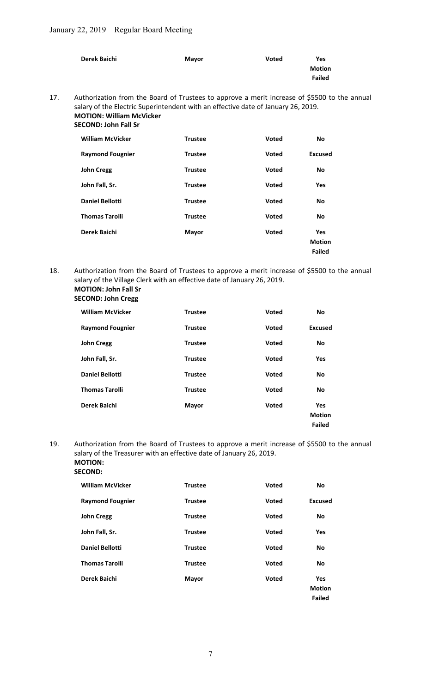| Derek Baichi | <b>Mayor</b> | <b>Voted</b> | Yes           |
|--------------|--------------|--------------|---------------|
|              |              |              | <b>Motion</b> |
|              |              |              | <b>Failed</b> |
|              |              |              |               |

17. Authorization from the Board of Trustees to approve a merit increase of \$5500 to the annual salary of the Electric Superintendent with an effective date of January 26, 2019. MOTION: William McVicker SECOND: John Fall Sr

| <b>William McVicker</b> | <b>Trustee</b> | <b>Voted</b> | <b>No</b>     |
|-------------------------|----------------|--------------|---------------|
| <b>Raymond Fougnier</b> | <b>Trustee</b> | <b>Voted</b> | Excused       |
| <b>John Cregg</b>       | <b>Trustee</b> | <b>Voted</b> | <b>No</b>     |
| John Fall, Sr.          | <b>Trustee</b> | <b>Voted</b> | Yes           |
| <b>Daniel Bellotti</b>  | <b>Trustee</b> | <b>Voted</b> | <b>No</b>     |
| <b>Thomas Tarolli</b>   | <b>Trustee</b> | Voted        | <b>No</b>     |
| Derek Baichi            | <b>Mayor</b>   | <b>Voted</b> | <b>Yes</b>    |
|                         |                |              | <b>Motion</b> |
|                         |                |              | <b>Failed</b> |

18. Authorization from the Board of Trustees to approve a merit increase of \$5500 to the annual salary of the Village Clerk with an effective date of January 26, 2019. MOTION: John Fall Sr

# SECOND: John Cregg

| <b>William McVicker</b> | <b>Trustee</b> | <b>Voted</b> | <b>No</b>     |
|-------------------------|----------------|--------------|---------------|
| <b>Raymond Fougnier</b> | <b>Trustee</b> | <b>Voted</b> | Excused       |
| <b>John Cregg</b>       | <b>Trustee</b> | <b>Voted</b> | <b>No</b>     |
| John Fall, Sr.          | <b>Trustee</b> | <b>Voted</b> | <b>Yes</b>    |
| <b>Daniel Bellotti</b>  | <b>Trustee</b> | <b>Voted</b> | <b>No</b>     |
| <b>Thomas Tarolli</b>   | <b>Trustee</b> | Voted        | <b>No</b>     |
| Derek Baichi            | <b>Mayor</b>   | <b>Voted</b> | <b>Yes</b>    |
|                         |                |              | <b>Motion</b> |
|                         |                |              | <b>Failed</b> |

19. Authorization from the Board of Trustees to approve a merit increase of \$5500 to the annual salary of the Treasurer with an effective date of January 26, 2019. MOTION:

# SECOND:

| <b>Trustee</b> | <b>Voted</b> | <b>No</b>                                    |
|----------------|--------------|----------------------------------------------|
| <b>Trustee</b> | <b>Voted</b> | <b>Excused</b>                               |
| <b>Trustee</b> | <b>Voted</b> | No                                           |
| <b>Trustee</b> | Voted        | <b>Yes</b>                                   |
| <b>Trustee</b> | <b>Voted</b> | <b>No</b>                                    |
| <b>Trustee</b> | Voted        | No                                           |
| <b>Mayor</b>   | <b>Voted</b> | <b>Yes</b><br><b>Motion</b><br><b>Failed</b> |
|                |              |                                              |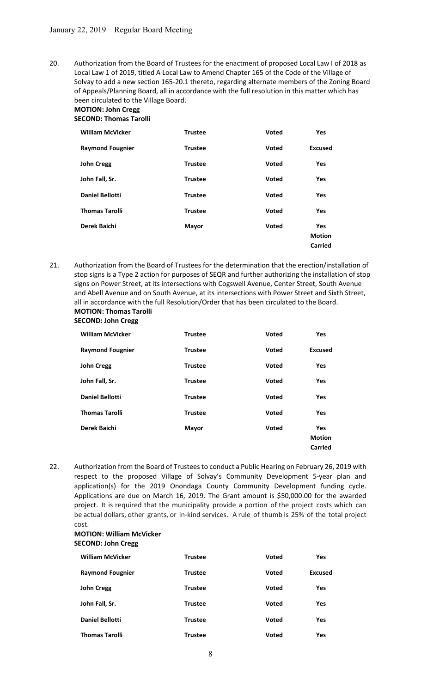20. Authorization from the Board of Trustees for the enactment of proposed Local Law I of 2018 as Local Law 1 of 2019, titled A Local Law to Amend Chapter 165 of the Code of the Village of Solvay to add a new section 165-20.1 thereto, regarding alternate members of the Zoning Board of Appeals/Planning Board, all in accordance with the full resolution in this matter which has been circulated to the Village Board.

#### MOTION: John Cregg SECOND: Thomas Tarolli

| <b>William McVicker</b> | <b>Trustee</b> | <b>Voted</b> | <b>Yes</b>     |
|-------------------------|----------------|--------------|----------------|
| <b>Raymond Fougnier</b> | <b>Trustee</b> | Voted        | <b>Excused</b> |
| <b>John Cregg</b>       | <b>Trustee</b> | Voted        | <b>Yes</b>     |
| John Fall, Sr.          | <b>Trustee</b> | Voted        | <b>Yes</b>     |
| <b>Daniel Bellotti</b>  | <b>Trustee</b> | Voted        | <b>Yes</b>     |
| <b>Thomas Tarolli</b>   | <b>Trustee</b> | <b>Voted</b> | <b>Yes</b>     |
| Derek Baichi            | <b>Mayor</b>   | Voted        | <b>Yes</b>     |
|                         |                |              | <b>Motion</b>  |
|                         |                |              | Carried        |

21. Authorization from the Board of Trustees for the determination that the erection/installation of stop signs is a Type 2 action for purposes of SEQR and further authorizing the installation of stop signs on Power Street, at its intersections with Cogswell Avenue, Center Street, South Avenue and Abell Avenue and on South Avenue, at its intersections with Power Street and Sixth Street, all in accordance with the full Resolution/Order that has been circulated to the Board. MOTION: Thomas Tarolli

# SECOND: John Cregg

| <b>William McVicker</b> | <b>Trustee</b> | <b>Voted</b> | <b>Yes</b>                             |
|-------------------------|----------------|--------------|----------------------------------------|
| <b>Raymond Fougnier</b> | <b>Trustee</b> | Voted        | <b>Excused</b>                         |
| <b>John Cregg</b>       | <b>Trustee</b> | Voted        | Yes                                    |
| John Fall, Sr.          | <b>Trustee</b> | Voted        | <b>Yes</b>                             |
| <b>Daniel Bellotti</b>  | <b>Trustee</b> | Voted        | <b>Yes</b>                             |
| <b>Thomas Tarolli</b>   | <b>Trustee</b> | <b>Voted</b> | <b>Yes</b>                             |
| Derek Baichi            | Mayor          | Voted        | <b>Yes</b><br><b>Motion</b><br>Carried |

22. Authorization from the Board of Trustees to conduct a Public Hearing on February 26, 2019 with respect to the proposed Village of Solvay's Community Development 5-year plan and application(s) for the 2019 Onondaga County Community Development funding cycle. Applications are due on March 16, 2019. The Grant amount is \$50,000.00 for the awarded project. It is required that the municipality provide a portion of the project costs which can be actual dollars, other grants, or in-kind services. A rule of thumb is 25% of the total project cost.

### MOTION: William McVicker SECOND: John Cregg

| <b>William McVicker</b> | <b>Trustee</b> | Voted        | <b>Yes</b>     |
|-------------------------|----------------|--------------|----------------|
| <b>Raymond Fougnier</b> | <b>Trustee</b> | Voted        | <b>Excused</b> |
| <b>John Cregg</b>       | <b>Trustee</b> | Voted        | <b>Yes</b>     |
| John Fall, Sr.          | <b>Trustee</b> | Voted        | Yes            |
| <b>Daniel Bellotti</b>  | <b>Trustee</b> | Voted        | <b>Yes</b>     |
| <b>Thomas Tarolli</b>   | <b>Trustee</b> | <b>Voted</b> | Yes            |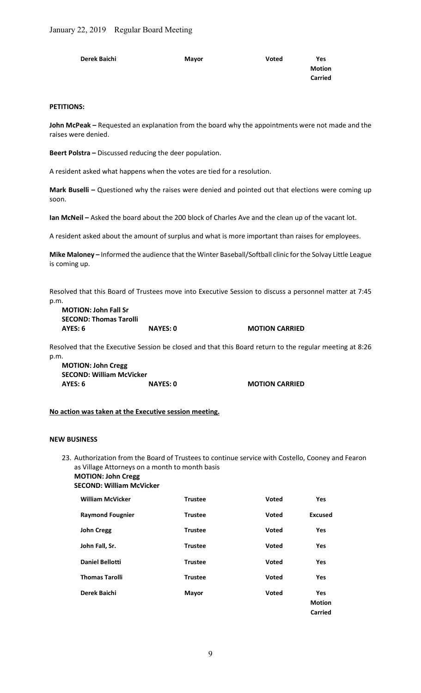| Derek Baichi | Mayor | Voted | Yes           |
|--------------|-------|-------|---------------|
|              |       |       | <b>Motion</b> |
|              |       |       | Carried       |

#### PETITIONS:

John McPeak - Requested an explanation from the board why the appointments were not made and the raises were denied.

Beert Polstra – Discussed reducing the deer population.

A resident asked what happens when the votes are tied for a resolution.

Mark Buselli – Questioned why the raises were denied and pointed out that elections were coming up soon.

Ian McNeil – Asked the board about the 200 block of Charles Ave and the clean up of the vacant lot.

A resident asked about the amount of surplus and what is more important than raises for employees.

Mike Maloney – Informed the audience that the Winter Baseball/Softball clinic for the Solvay Little League is coming up.

Resolved that this Board of Trustees move into Executive Session to discuss a personnel matter at 7:45 p.m.

MOTION: John Fall Sr SECOND: Thomas Tarolli AYES: 6 NAYES: 0 MOTION CARRIED

Resolved that the Executive Session be closed and that this Board return to the regular meeting at 8:26 p.m.

MOTION: John Cregg SECOND: William McVicker AYES: 6 NAYES: 0 MOTION CARRIED

## No action was taken at the Executive session meeting.

#### NEW BUSINESS

23. Authorization from the Board of Trustees to continue service with Costello, Cooney and Fearon as Village Attorneys on a month to month basis

MOTION: John Cregg

| SECOND: William McVicker |  |
|--------------------------|--|
|--------------------------|--|

| <b>William McVicker</b> | <b>Trustee</b> | <b>Voted</b> | <b>Yes</b>                             |
|-------------------------|----------------|--------------|----------------------------------------|
| <b>Raymond Fougnier</b> | <b>Trustee</b> | Voted        | <b>Excused</b>                         |
| <b>John Cregg</b>       | <b>Trustee</b> | Voted        | <b>Yes</b>                             |
| John Fall, Sr.          | <b>Trustee</b> | <b>Voted</b> | <b>Yes</b>                             |
| <b>Daniel Bellotti</b>  | <b>Trustee</b> | <b>Voted</b> | <b>Yes</b>                             |
| <b>Thomas Tarolli</b>   | <b>Trustee</b> | <b>Voted</b> | <b>Yes</b>                             |
| Derek Baichi            | <b>Mayor</b>   | Voted        | <b>Yes</b><br><b>Motion</b><br>Carried |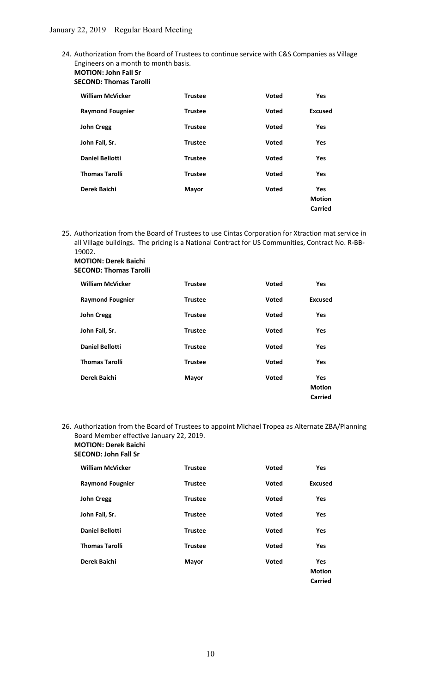- 24. Authorization from the Board of Trustees to continue service with C&S Companies as Village Engineers on a month to month basis.
	- MOTION: John Fall Sr SECOND: Thomas Tarolli

| <b>William McVicker</b> | <b>Trustee</b> | <b>Voted</b> | <b>Yes</b>     |
|-------------------------|----------------|--------------|----------------|
| <b>Raymond Fougnier</b> | <b>Trustee</b> | <b>Voted</b> | <b>Excused</b> |
| <b>John Cregg</b>       | <b>Trustee</b> | <b>Voted</b> | Yes            |
| John Fall, Sr.          | <b>Trustee</b> | Voted        | <b>Yes</b>     |
| <b>Daniel Bellotti</b>  | <b>Trustee</b> | <b>Voted</b> | Yes            |
| <b>Thomas Tarolli</b>   | <b>Trustee</b> | <b>Voted</b> | Yes            |
| Derek Baichi            | Mayor          | <b>Voted</b> | Yes            |
|                         |                |              | <b>Motion</b>  |
|                         |                |              | Carried        |

25. Authorization from the Board of Trustees to use Cintas Corporation for Xtraction mat service in all Village buildings. The pricing is a National Contract for US Communities, Contract No. R-BB-19002.

| <b>MOTION: Derek Baichi</b>   |
|-------------------------------|
| <b>SECOND: Thomas Tarolli</b> |

| <b>William McVicker</b> | <b>Trustee</b> | Voted | <b>Yes</b>                             |
|-------------------------|----------------|-------|----------------------------------------|
| <b>Raymond Fougnier</b> | <b>Trustee</b> | Voted | <b>Excused</b>                         |
| <b>John Cregg</b>       | <b>Trustee</b> | Voted | <b>Yes</b>                             |
| John Fall, Sr.          | <b>Trustee</b> | Voted | <b>Yes</b>                             |
| <b>Daniel Bellotti</b>  | <b>Trustee</b> | Voted | <b>Yes</b>                             |
| <b>Thomas Tarolli</b>   | <b>Trustee</b> | Voted | <b>Yes</b>                             |
| Derek Baichi            | Mayor          | Voted | <b>Yes</b><br><b>Motion</b><br>Carried |

# 26. Authorization from the Board of Trustees to appoint Michael Tropea as Alternate ZBA/Planning Board Member effective January 22, 2019. MOTION: Derek Baichi

# SECOND: John Fall Sr

| <b>William McVicker</b> | <b>Trustee</b> | Voted        | <b>Yes</b>    |
|-------------------------|----------------|--------------|---------------|
| <b>Raymond Fougnier</b> | <b>Trustee</b> | Voted        | Excused       |
| <b>John Cregg</b>       | <b>Trustee</b> | Voted        | <b>Yes</b>    |
| John Fall, Sr.          | <b>Trustee</b> | <b>Voted</b> | Yes           |
| <b>Daniel Bellotti</b>  | <b>Trustee</b> | Voted        | <b>Yes</b>    |
| <b>Thomas Tarolli</b>   | <b>Trustee</b> | <b>Voted</b> | <b>Yes</b>    |
| Derek Baichi            | <b>Mayor</b>   | Voted        | <b>Yes</b>    |
|                         |                |              | <b>Motion</b> |
|                         |                |              | Carried       |